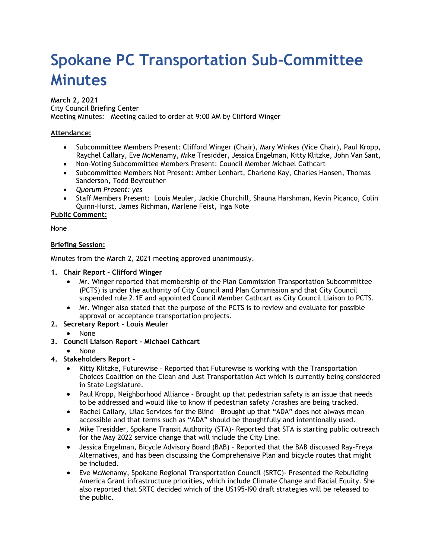# **Spokane PC Transportation Sub-Committee Minutes**

# **March 2, 2021**

City Council Briefing Center Meeting Minutes: Meeting called to order at 9:00 AM by Clifford Winger

# **Attendance:**

- Subcommittee Members Present: Clifford Winger (Chair), Mary Winkes (Vice Chair), Paul Kropp, Raychel Callary, Eve McMenamy, Mike Tresidder, Jessica Engelman, Kitty Klitzke, John Van Sant,
- Non-Voting Subcommittee Members Present: Council Member Michael Cathcart
- Subcommittee Members Not Present: Amber Lenhart, Charlene Kay, Charles Hansen, Thomas Sanderson, Todd Beyreuther
- *Quorum Present: yes*
- Staff Members Present: Louis Meuler, Jackie Churchill, Shauna Harshman, Kevin Picanco, Colin Quinn-Hurst, James Richman, Marlene Feist, Inga Note

# **Public Comment:**

None

# **Briefing Session:**

Minutes from the March 2, 2021 meeting approved unanimously.

- **1. Chair Report Clifford Winger**
	- Mr. Winger reported that membership of the Plan Commission Transportation Subcommittee (PCTS) is under the authority of City Council and Plan Commission and that City Council suspended rule 2.1E and appointed Council Member Cathcart as City Council Liaison to PCTS.
	- Mr. Winger also stated that the purpose of the PCTS is to review and evaluate for possible approval or acceptance transportation projects.
- **2. Secretary Report Louis Meuler**
	- None
- **3. Council Liaison Report Michael Cathcart**
	- None
- **4. Stakeholders Report –**
	- Kitty Klitzke, Futurewise Reported that Futurewise is working with the Transportation Choices Coalition on the Clean and Just Transportation Act which is currently being considered in State Legislature.
	- Paul Kropp, Neighborhood Alliance Brought up that pedestrian safety is an issue that needs to be addressed and would like to know if pedestrian safety /crashes are being tracked.
	- Rachel Callary, Lilac Services for the Blind Brought up that "ADA" does not always mean accessible and that terms such as "ADA" should be thoughtfully and intentionally used.
	- Mike Tresidder, Spokane Transit Authority (STA) Reported that STA is starting public outreach for the May 2022 service change that will include the City Line.
	- Jessica Engelman, Bicycle Advisory Board (BAB) Reported that the BAB discussed Ray-Freya Alternatives, and has been discussing the Comprehensive Plan and bicycle routes that might be included.
	- Eve McMenamy, Spokane Regional Transportation Council (SRTC)- Presented the Rebuilding America Grant infrastructure priorities, which include Climate Change and Racial Equity. She also reported that SRTC decided which of the US195-I90 draft strategies will be released to the public.